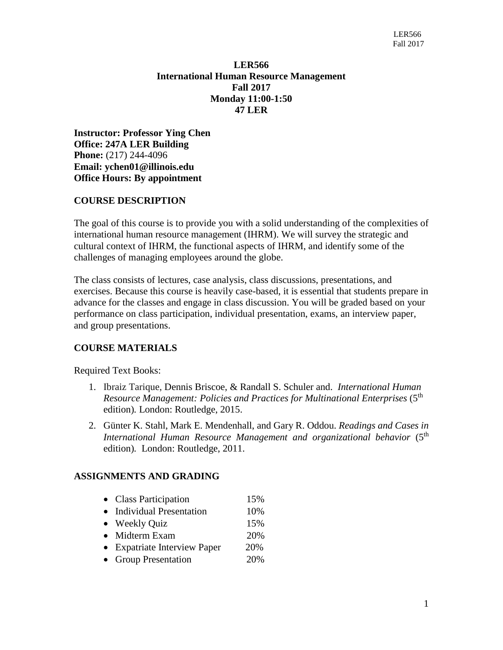## **LER566 International Human Resource Management Fall 2017 Monday 11:00-1:50 47 LER**

**Instructor: Professor Ying Chen Office: 247A LER Building Phone:** (217) 244-4096 **Email: [ychen01@illinois.edu](mailto:ychen01@illinois.edu) Office Hours: By appointment**

### **COURSE DESCRIPTION**

The goal of this course is to provide you with a solid understanding of the complexities of international human resource management (IHRM). We will survey the strategic and cultural context of IHRM, the functional aspects of IHRM, and identify some of the challenges of managing employees around the globe.

The class consists of lectures, case analysis, class discussions, presentations, and exercises. Because this course is heavily case-based, it is essential that students prepare in advance for the classes and engage in class discussion. You will be graded based on your performance on class participation, individual presentation, exams, an interview paper, and group presentations.

## **COURSE MATERIALS**

Required Text Books:

- 1. Ibraiz [Tarique,](http://www.routledge.com/books/search/author/ibraiz_tarique/) Dennis Briscoe, & Randall S. Schuler and. *International Human*  Resource Management: Policies and Practices for Multinational Enterprises (5<sup>th</sup> edition)*.* London: Routledge, 2015.
- 2. [Günter](http://www.routledge.com/books/search/author/guenter_k_stahl/) K. Stahl, Mark E. [Mendenhall,](http://www.routledge.com/books/search/author/mark_e_mendenhall/) and Gary R. [Oddou.](http://www.routledge.com/books/search/author/gary_r_oddou/) *Readings and Cases in International Human Resource Management and organizational behavior* (5th edition)*.* London: Routledge, 2011.

### **ASSIGNMENTS AND GRADING**

- Class Participation 15%
- Individual Presentation 10%
- Weekly Quiz 15%
- Midterm Exam 20%
- Expatriate Interview Paper 20%
- Group Presentation 20%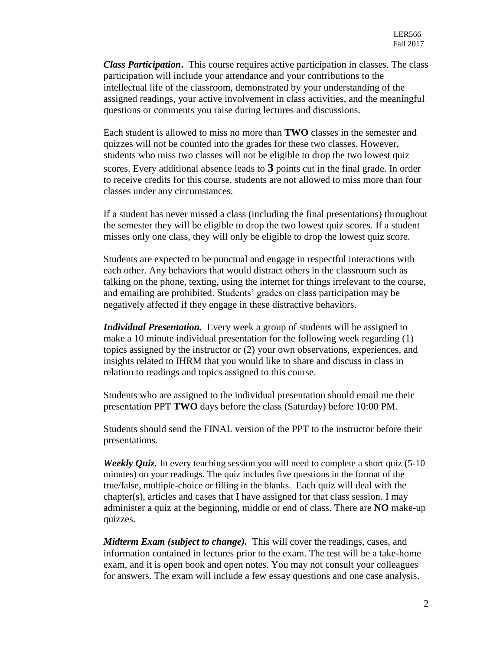*Class Participation***.** This course requires active participation in classes. The class participation will include your attendance and your contributions to the intellectual life of the classroom, demonstrated by your understanding of the assigned readings, your active involvement in class activities, and the meaningful questions or comments you raise during lectures and discussions.

Each student is allowed to miss no more than **TWO** classes in the semester and quizzes will not be counted into the grades for these two classes. However, students who miss two classes will not be eligible to drop the two lowest quiz scores. Every additional absence leads to **3** points cut in the final grade. In order to receive credits for this course, students are not allowed to miss more than four classes under any circumstances.

If a student has never missed a class (including the final presentations) throughout the semester they will be eligible to drop the two lowest quiz scores. If a student misses only one class, they will only be eligible to drop the lowest quiz score.

Students are expected to be punctual and engage in respectful interactions with each other. Any behaviors that would distract others in the classroom such as talking on the phone, texting, using the internet for things irrelevant to the course, and emailing are prohibited. Students' grades on class participation may be negatively affected if they engage in these distractive behaviors.

*Individual Presentation.* Every week a group of students will be assigned to make a 10 minute individual presentation for the following week regarding (1) topics assigned by the instructor or (2) your own observations, experiences, and insights related to IHRM that you would like to share and discuss in class in relation to readings and topics assigned to this course.

Students who are assigned to the individual presentation should email me their presentation PPT **TWO** days before the class (Saturday) before 10:00 PM.

Students should send the FINAL version of the PPT to the instructor before their presentations.

*Weekly Quiz.* In every teaching session you will need to complete a short quiz (5-10) minutes) on your readings. The quiz includes five questions in the format of the true/false, multiple-choice or filling in the blanks. Each quiz will deal with the chapter(s), articles and cases that I have assigned for that class session. I may administer a quiz at the beginning, middle or end of class. There are **NO** make-up quizzes.

*Midterm Exam (subject to change).* This will cover the readings, cases, and information contained in lectures prior to the exam. The test will be a take-home exam, and it is open book and open notes. You may not consult your colleagues for answers. The exam will include a few essay questions and one case analysis.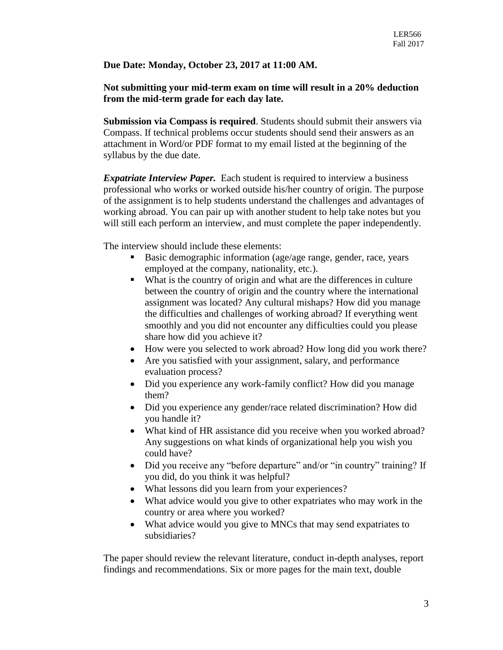### **Due Date: Monday, October 23, 2017 at 11:00 AM.**

### **Not submitting your mid-term exam on time will result in a 20% deduction from the mid-term grade for each day late.**

**Submission via Compass is required**. Students should submit their answers via Compass. If technical problems occur students should send their answers as an attachment in Word/or PDF format to my email listed at the beginning of the syllabus by the due date.

*Expatriate Interview Paper.* Each student is required to interview a business professional who works or worked outside his/her country of origin. The purpose of the assignment is to help students understand the challenges and advantages of working abroad. You can pair up with another student to help take notes but you will still each perform an interview, and must complete the paper independently.

The interview should include these elements:

- Basic demographic information (age/age range, gender, race, years employed at the company, nationality, etc.).
- What is the country of origin and what are the differences in culture between the country of origin and the country where the international assignment was located? Any cultural mishaps? How did you manage the difficulties and challenges of working abroad? If everything went smoothly and you did not encounter any difficulties could you please share how did you achieve it?
- How were you selected to work abroad? How long did you work there?
- Are you satisfied with your assignment, salary, and performance evaluation process?
- Did you experience any work-family conflict? How did you manage them?
- Did you experience any gender/race related discrimination? How did you handle it?
- What kind of HR assistance did you receive when you worked abroad? Any suggestions on what kinds of organizational help you wish you could have?
- Did you receive any "before departure" and/or "in country" training? If you did, do you think it was helpful?
- What lessons did you learn from your experiences?
- What advice would you give to other expatriates who may work in the country or area where you worked?
- What advice would you give to MNCs that may send expatriates to subsidiaries?

The paper should review the relevant literature, conduct in-depth analyses, report findings and recommendations. Six or more pages for the main text, double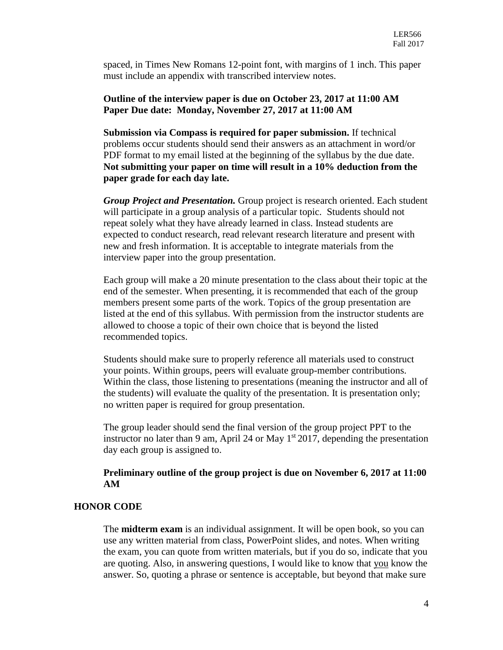spaced, in Times New Romans 12-point font, with margins of 1 inch. This paper must include an appendix with transcribed interview notes.

#### **Outline of the interview paper is due on October 23, 2017 at 11:00 AM Paper Due date: Monday, November 27, 2017 at 11:00 AM**

**Submission via Compass is required for paper submission.** If technical problems occur students should send their answers as an attachment in word/or PDF format to my email listed at the beginning of the syllabus by the due date. **Not submitting your paper on time will result in a 10% deduction from the paper grade for each day late.** 

*Group Project and Presentation.* Group project is research oriented. Each student will participate in a group analysis of a particular topic. Students should not repeat solely what they have already learned in class. Instead students are expected to conduct research, read relevant research literature and present with new and fresh information. It is acceptable to integrate materials from the interview paper into the group presentation.

Each group will make a 20 minute presentation to the class about their topic at the end of the semester. When presenting, it is recommended that each of the group members present some parts of the work. Topics of the group presentation are listed at the end of this syllabus. With permission from the instructor students are allowed to choose a topic of their own choice that is beyond the listed recommended topics.

Students should make sure to properly reference all materials used to construct your points. Within groups, peers will evaluate group-member contributions. Within the class, those listening to presentations (meaning the instructor and all of the students) will evaluate the quality of the presentation. It is presentation only; no written paper is required for group presentation.

The group leader should send the final version of the group project PPT to the instructor no later than 9 am, April 24 or May  $1<sup>st</sup> 2017$ , depending the presentation day each group is assigned to.

#### **Preliminary outline of the group project is due on November 6, 2017 at 11:00 AM**

### **HONOR CODE**

The **midterm exam** is an individual assignment. It will be open book, so you can use any written material from class, PowerPoint slides, and notes. When writing the exam, you can quote from written materials, but if you do so, indicate that you are quoting. Also, in answering questions, I would like to know that you know the answer. So, quoting a phrase or sentence is acceptable, but beyond that make sure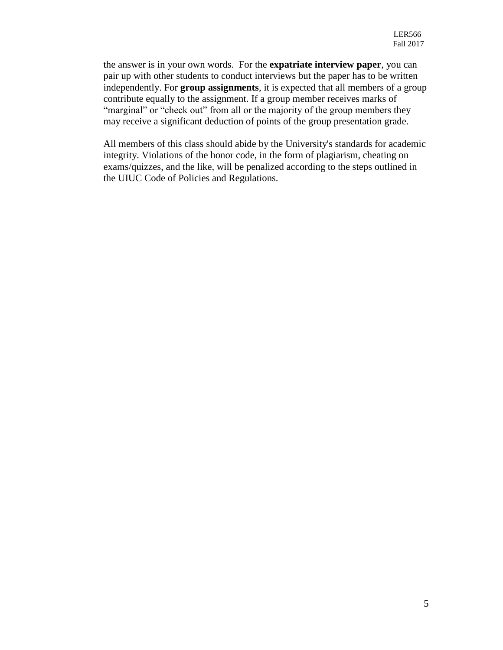the answer is in your own words. For the **expatriate interview paper**, you can pair up with other students to conduct interviews but the paper has to be written independently. For **group assignments**, it is expected that all members of a group contribute equally to the assignment. If a group member receives marks of "marginal" or "check out" from all or the majority of the group members they may receive a significant deduction of points of the group presentation grade.

All members of this class should abide by the University's standards for academic integrity. Violations of the honor code, in the form of plagiarism, cheating on exams/quizzes, and the like, will be penalized according to the steps outlined in the UIUC Code of Policies and Regulations.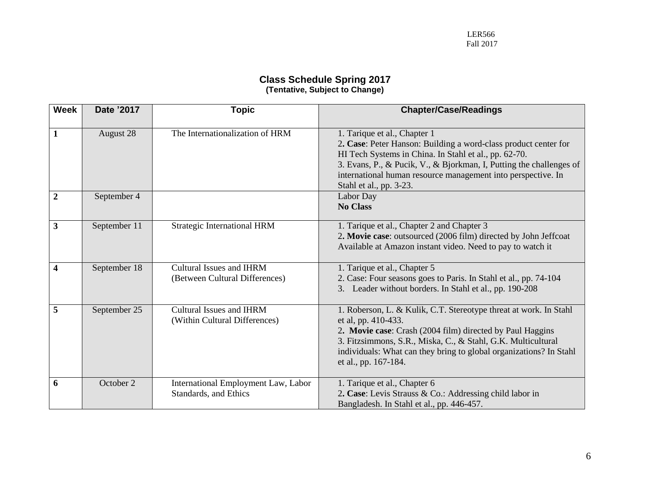#### **Class Schedule Spring 2017 (Tentative, Subject to Change)**

| <b>Week</b>             | Date '2017   | <b>Topic</b>                                                      | <b>Chapter/Case/Readings</b>                                                                                                                                                                                                                                                                                               |  |
|-------------------------|--------------|-------------------------------------------------------------------|----------------------------------------------------------------------------------------------------------------------------------------------------------------------------------------------------------------------------------------------------------------------------------------------------------------------------|--|
| $\mathbf{1}$            | August 28    | The Internationalization of HRM                                   | 1. Tarique et al., Chapter 1<br>2. Case: Peter Hanson: Building a word-class product center for<br>HI Tech Systems in China. In Stahl et al., pp. 62-70.<br>3. Evans, P., & Pucik, V., & Bjorkman, I, Putting the challenges of<br>international human resource management into perspective. In<br>Stahl et al., pp. 3-23. |  |
| $\overline{2}$          | September 4  |                                                                   | Labor Day<br><b>No Class</b>                                                                                                                                                                                                                                                                                               |  |
| $\overline{\mathbf{3}}$ | September 11 | <b>Strategic International HRM</b>                                | 1. Tarique et al., Chapter 2 and Chapter 3<br>2. Movie case: outsourced (2006 film) directed by John Jeffcoat<br>Available at Amazon instant video. Need to pay to watch it                                                                                                                                                |  |
| $\overline{\mathbf{4}}$ | September 18 | <b>Cultural Issues and IHRM</b><br>(Between Cultural Differences) | 1. Tarique et al., Chapter 5<br>2. Case: Four seasons goes to Paris. In Stahl et al., pp. 74-104<br>3. Leader without borders. In Stahl et al., pp. 190-208                                                                                                                                                                |  |
| 5                       | September 25 | <b>Cultural Issues and IHRM</b><br>(Within Cultural Differences)  | 1. Roberson, L. & Kulik, C.T. Stereotype threat at work. In Stahl<br>et al, pp. 410-433.<br>2. Movie case: Crash (2004 film) directed by Paul Haggins<br>3. Fitzsimmons, S.R., Miska, C., & Stahl, G.K. Multicultural<br>individuals: What can they bring to global organizations? In Stahl<br>et al., pp. 167-184.        |  |
| 6                       | October 2    | International Employment Law, Labor<br>Standards, and Ethics      | 1. Tarique et al., Chapter 6<br>2. Case: Levis Strauss & Co.: Addressing child labor in<br>Bangladesh. In Stahl et al., pp. 446-457.                                                                                                                                                                                       |  |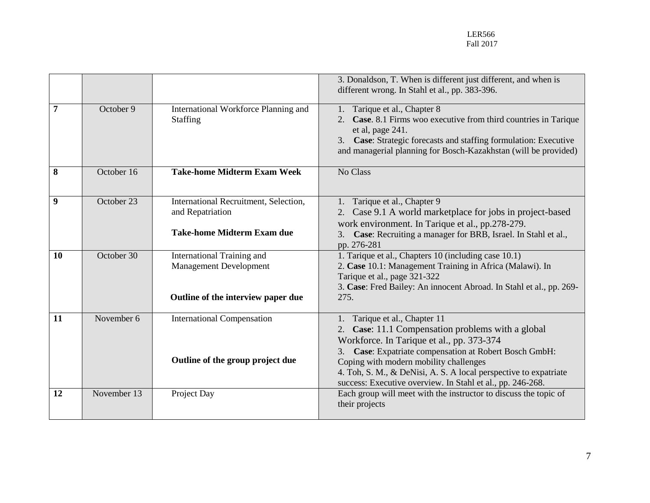|    |             |                                                                                                   | 3. Donaldson, T. When is different just different, and when is<br>different wrong. In Stahl et al., pp. 383-396.                                                                                                                                                                                                                                                      |
|----|-------------|---------------------------------------------------------------------------------------------------|-----------------------------------------------------------------------------------------------------------------------------------------------------------------------------------------------------------------------------------------------------------------------------------------------------------------------------------------------------------------------|
| 7  | October 9   | International Workforce Planning and<br>Staffing                                                  | Tarique et al., Chapter 8<br>Case. 8.1 Firms woo executive from third countries in Tarique<br>et al, page 241.<br>3. Case: Strategic forecasts and staffing formulation: Executive<br>and managerial planning for Bosch-Kazakhstan (will be provided)                                                                                                                 |
| 8  | October 16  | <b>Take-home Midterm Exam Week</b>                                                                | No Class                                                                                                                                                                                                                                                                                                                                                              |
| 9  | October 23  | International Recruitment, Selection,<br>and Repatriation<br><b>Take-home Midterm Exam due</b>    | Tarique et al., Chapter 9<br>1.<br>Case 9.1 A world marketplace for jobs in project-based<br>2.<br>work environment. In Tarique et al., pp.278-279.<br>Case: Recruiting a manager for BRB, Israel. In Stahl et al.,<br>pp. 276-281                                                                                                                                    |
| 10 | October 30  | International Training and<br><b>Management Development</b><br>Outline of the interview paper due | 1. Tarique et al., Chapters 10 (including case 10.1)<br>2. Case 10.1: Management Training in Africa (Malawi). In<br>Tarique et al., page 321-322<br>3. Case: Fred Bailey: An innocent Abroad. In Stahl et al., pp. 269-<br>275.                                                                                                                                       |
| 11 | November 6  | <b>International Compensation</b><br>Outline of the group project due                             | 1. Tarique et al., Chapter 11<br>Case: 11.1 Compensation problems with a global<br>2.<br>Workforce. In Tarique et al., pp. 373-374<br>Case: Expatriate compensation at Robert Bosch GmbH:<br>Coping with modern mobility challenges<br>4. Toh, S. M., & DeNisi, A. S. A local perspective to expatriate<br>success: Executive overview. In Stahl et al., pp. 246-268. |
| 12 | November 13 | Project Day                                                                                       | Each group will meet with the instructor to discuss the topic of<br>their projects                                                                                                                                                                                                                                                                                    |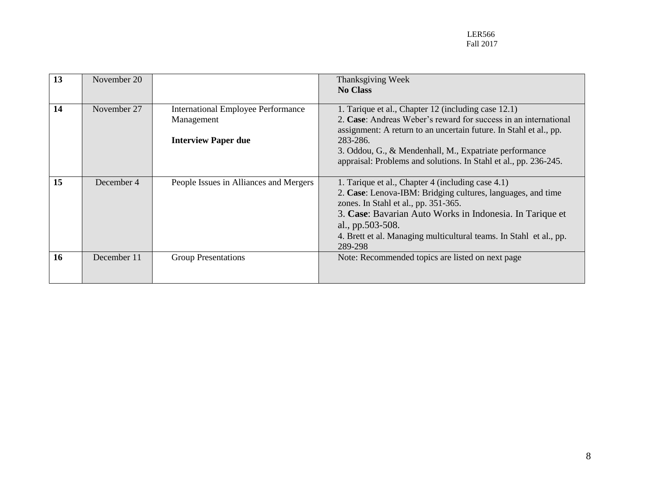| 13 | November 20 |                                                                                       | Thanksgiving Week<br><b>No Class</b>                                                                                                                                                                                                                                                                                                  |
|----|-------------|---------------------------------------------------------------------------------------|---------------------------------------------------------------------------------------------------------------------------------------------------------------------------------------------------------------------------------------------------------------------------------------------------------------------------------------|
| 14 | November 27 | <b>International Employee Performance</b><br>Management<br><b>Interview Paper due</b> | 1. Tarique et al., Chapter 12 (including case 12.1)<br>2. Case: Andreas Weber's reward for success in an international<br>assignment: A return to an uncertain future. In Stahl et al., pp.<br>283-286.<br>3. Oddou, G., & Mendenhall, M., Expatriate performance<br>appraisal: Problems and solutions. In Stahl et al., pp. 236-245. |
| 15 | December 4  | People Issues in Alliances and Mergers                                                | 1. Tarique et al., Chapter 4 (including case 4.1)<br>2. Case: Lenova-IBM: Bridging cultures, languages, and time<br>zones. In Stahl et al., pp. 351-365.<br>3. Case: Bavarian Auto Works in Indonesia. In Tarique et<br>al., pp.503-508.<br>4. Brett et al. Managing multicultural teams. In Stahl et al., pp.<br>289-298             |
| 16 | December 11 | <b>Group Presentations</b>                                                            | Note: Recommended topics are listed on next page                                                                                                                                                                                                                                                                                      |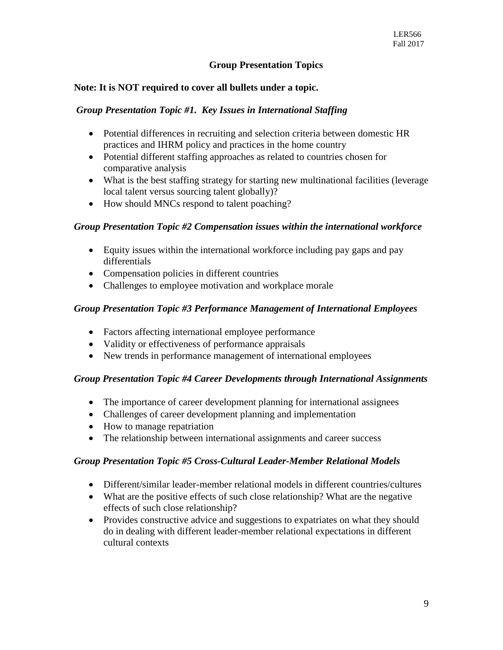## **Group Presentation Topics**

### **Note: It is NOT required to cover all bullets under a topic.**

### *Group Presentation Topic #1. Key Issues in International Staffing*

- Potential differences in recruiting and selection criteria between domestic HR practices and IHRM policy and practices in the home country
- Potential different staffing approaches as related to countries chosen for comparative analysis
- What is the best staffing strategy for starting new multinational facilities (leverage local talent versus sourcing talent globally)?
- How should MNCs respond to talent poaching?

#### *Group Presentation Topic #2 Compensation issues within the international workforce*

- Equity issues within the international workforce including pay gaps and pay differentials
- Compensation policies in different countries
- Challenges to employee motivation and workplace morale

### *Group Presentation Topic #3 Performance Management of International Employees*

- Factors affecting international employee performance
- Validity or effectiveness of performance appraisals
- New trends in performance management of international employees

### *Group Presentation Topic #4 Career Developments through International Assignments*

- The importance of career development planning for international assignees
- Challenges of career development planning and implementation
- How to manage repatriation
- The relationship between international assignments and career success

### *Group Presentation Topic #5 Cross-Cultural Leader-Member Relational Models*

- Different/similar leader-member relational models in different countries/cultures
- What are the positive effects of such close relationship? What are the negative effects of such close relationship?
- Provides constructive advice and suggestions to expatriates on what they should do in dealing with different leader-member relational expectations in different cultural contexts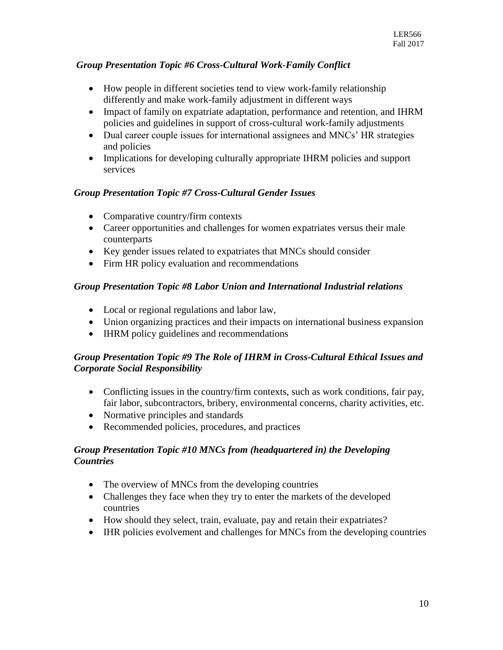# *Group Presentation Topic #6 Cross-Cultural Work-Family Conflict*

- How people in different societies tend to view work-family relationship differently and make work-family adjustment in different ways
- Impact of family on expatriate adaptation, performance and retention, and IHRM policies and guidelines in support of cross-cultural work-family adjustments
- Dual career couple issues for international assignees and MNCs' HR strategies and policies
- Implications for developing culturally appropriate IHRM policies and support services

# *Group Presentation Topic #7 Cross-Cultural Gender Issues*

- Comparative country/firm contexts
- Career opportunities and challenges for women expatriates versus their male counterparts
- Key gender issues related to expatriates that MNCs should consider
- Firm HR policy evaluation and recommendations

# *Group Presentation Topic #8 Labor Union and International Industrial relations*

- Local or regional regulations and labor law,
- Union organizing practices and their impacts on international business expansion
- IHRM policy guidelines and recommendations

# *Group Presentation Topic #9 The Role of IHRM in Cross-Cultural Ethical Issues and Corporate Social Responsibility*

- Conflicting issues in the country/firm contexts, such as work conditions, fair pay, fair labor, subcontractors, bribery, environmental concerns, charity activities, etc.
- Normative principles and standards
- Recommended policies, procedures, and practices

# *Group Presentation Topic #10 MNCs from (headquartered in) the Developing Countries*

- The overview of MNCs from the developing countries
- Challenges they face when they try to enter the markets of the developed countries
- How should they select, train, evaluate, pay and retain their expatriates?
- IHR policies evolvement and challenges for MNCs from the developing countries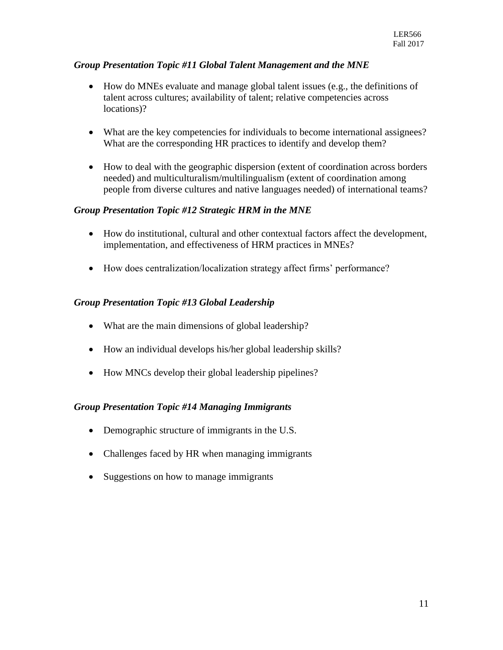## *Group Presentation Topic #11 Global Talent Management and the MNE*

- How do MNEs evaluate and manage global talent issues (e.g., the definitions of talent across cultures; availability of talent; relative competencies across locations)?
- What are the key competencies for individuals to become international assignees? What are the corresponding HR practices to identify and develop them?
- How to deal with the geographic dispersion (extent of coordination across borders needed) and multiculturalism/multilingualism (extent of coordination among people from diverse cultures and native languages needed) of international teams?

## *Group Presentation Topic #12 Strategic HRM in the MNE*

- How do institutional, cultural and other contextual factors affect the development, implementation, and effectiveness of HRM practices in MNEs?
- How does centralization/localization strategy affect firms' performance?

## *Group Presentation Topic #13 Global Leadership*

- What are the main dimensions of global leadership?
- How an individual develops his/her global leadership skills?
- How MNCs develop their global leadership pipelines?

### *Group Presentation Topic #14 Managing Immigrants*

- Demographic structure of immigrants in the U.S.
- Challenges faced by HR when managing immigrants
- Suggestions on how to manage immigrants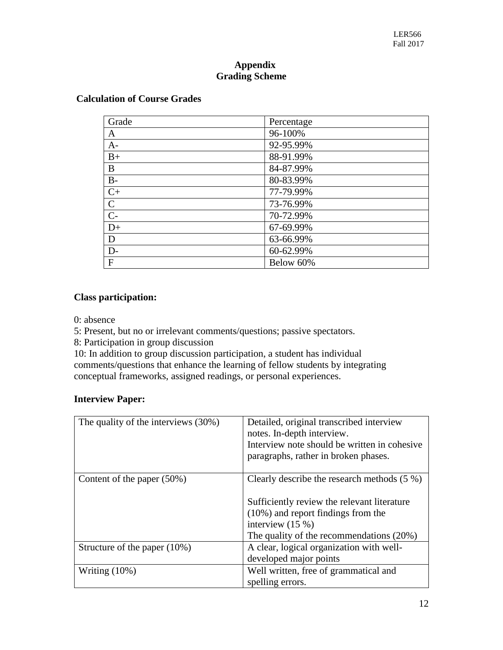## **Appendix Grading Scheme**

| Grade          | Percentage |
|----------------|------------|
| A              | 96-100%    |
| $A-$           | 92-95.99%  |
| $B+$           | 88-91.99%  |
| B              | 84-87.99%  |
| $B-$           | 80-83.99%  |
| $C+$           | 77-79.99%  |
| $\mathbf C$    | 73-76.99%  |
| $\overline{C}$ | 70-72.99%  |
| $D+$           | 67-69.99%  |
| D              | 63-66.99%  |
| $D-$           | 60-62.99%  |
| $\mathbf{F}$   | Below 60%  |

## **Class participation:**

0: absence

5: Present, but no or irrelevant comments/questions; passive spectators.

8: Participation in group discussion

10: In addition to group discussion participation, a student has individual comments/questions that enhance the learning of fellow students by integrating conceptual frameworks, assigned readings, or personal experiences.

## **Interview Paper:**

| The quality of the interviews (30%) | Detailed, original transcribed interview<br>notes. In-depth interview.<br>Interview note should be written in cohesive.<br>paragraphs, rather in broken phases.                                           |
|-------------------------------------|-----------------------------------------------------------------------------------------------------------------------------------------------------------------------------------------------------------|
| Content of the paper (50%)          | Clearly describe the research methods $(5\%)$<br>Sufficiently review the relevant literature<br>$(10\%)$ and report findings from the<br>interview $(15%)$<br>The quality of the recommendations $(20\%)$ |
| Structure of the paper $(10\%)$     | A clear, logical organization with well-<br>developed major points                                                                                                                                        |
| Writing $(10\%)$                    | Well written, free of grammatical and<br>spelling errors.                                                                                                                                                 |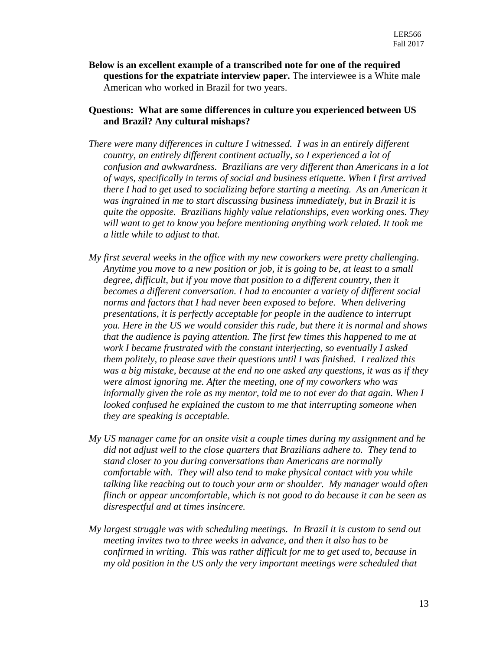**Below is an excellent example of a transcribed note for one of the required questions for the expatriate interview paper.** The interviewee is a White male American who worked in Brazil for two years.

### **Questions: What are some differences in culture you experienced between US and Brazil? Any cultural mishaps?**

- *There were many differences in culture I witnessed. I was in an entirely different country, an entirely different continent actually, so I experienced a lot of confusion and awkwardness. Brazilians are very different than Americans in a lot of ways, specifically in terms of social and business etiquette. When I first arrived there I had to get used to socializing before starting a meeting. As an American it was ingrained in me to start discussing business immediately, but in Brazil it is quite the opposite. Brazilians highly value relationships, even working ones. They will want to get to know you before mentioning anything work related. It took me a little while to adjust to that.*
- *My first several weeks in the office with my new coworkers were pretty challenging. Anytime you move to a new position or job, it is going to be, at least to a small degree, difficult, but if you move that position to a different country, then it becomes a different conversation. I had to encounter a variety of different social norms and factors that I had never been exposed to before. When delivering presentations, it is perfectly acceptable for people in the audience to interrupt you. Here in the US we would consider this rude, but there it is normal and shows that the audience is paying attention. The first few times this happened to me at work I became frustrated with the constant interjecting, so eventually I asked them politely, to please save their questions until I was finished. I realized this was a big mistake, because at the end no one asked any questions, it was as if they were almost ignoring me. After the meeting, one of my coworkers who was informally given the role as my mentor, told me to not ever do that again. When I looked confused he explained the custom to me that interrupting someone when they are speaking is acceptable.*
- *My US manager came for an onsite visit a couple times during my assignment and he did not adjust well to the close quarters that Brazilians adhere to. They tend to stand closer to you during conversations than Americans are normally comfortable with. They will also tend to make physical contact with you while talking like reaching out to touch your arm or shoulder. My manager would often flinch or appear uncomfortable, which is not good to do because it can be seen as disrespectful and at times insincere.*
- *My largest struggle was with scheduling meetings. In Brazil it is custom to send out meeting invites two to three weeks in advance, and then it also has to be confirmed in writing. This was rather difficult for me to get used to, because in my old position in the US only the very important meetings were scheduled that*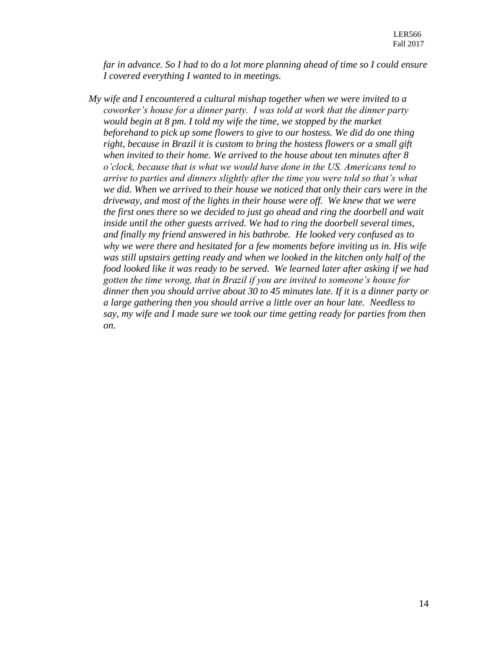*far in advance. So I had to do a lot more planning ahead of time so I could ensure I covered everything I wanted to in meetings.*

*My wife and I encountered a cultural mishap together when we were invited to a coworker's house for a dinner party. I was told at work that the dinner party would begin at 8 pm. I told my wife the time, we stopped by the market beforehand to pick up some flowers to give to our hostess. We did do one thing right, because in Brazil it is custom to bring the hostess flowers or a small gift when invited to their home. We arrived to the house about ten minutes after 8 o'clock, because that is what we would have done in the US. Americans tend to arrive to parties and dinners slightly after the time you were told so that's what we did. When we arrived to their house we noticed that only their cars were in the driveway, and most of the lights in their house were off. We knew that we were the first ones there so we decided to just go ahead and ring the doorbell and wait inside until the other guests arrived. We had to ring the doorbell several times, and finally my friend answered in his bathrobe. He looked very confused as to why we were there and hesitated for a few moments before inviting us in. His wife was still upstairs getting ready and when we looked in the kitchen only half of the food looked like it was ready to be served. We learned later after asking if we had gotten the time wrong, that in Brazil if you are invited to someone's house for dinner then you should arrive about 30 to 45 minutes late. If it is a dinner party or a large gathering then you should arrive a little over an hour late. Needless to say, my wife and I made sure we took our time getting ready for parties from then on.*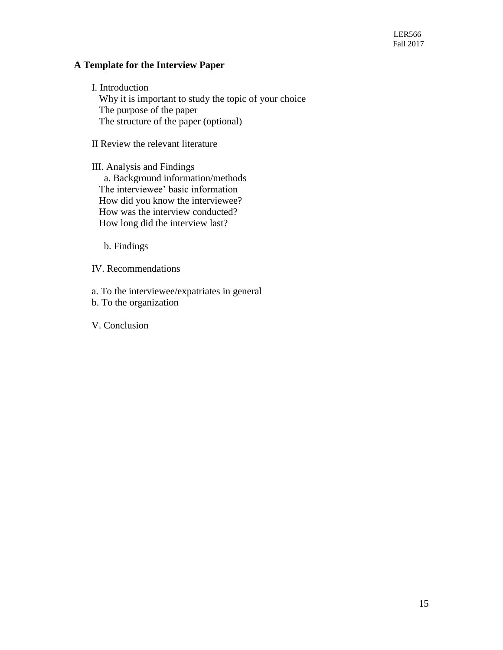#### **A Template for the Interview Paper**

I. Introduction Why it is important to study the topic of your choice The purpose of the paper The structure of the paper (optional)

II Review the relevant literature

III. Analysis and Findings a. Background information/methods The interviewee' basic information How did you know the interviewee? How was the interview conducted? How long did the interview last?

b. Findings

IV. Recommendations

a. To the interviewee/expatriates in general

b. To the organization

V. Conclusion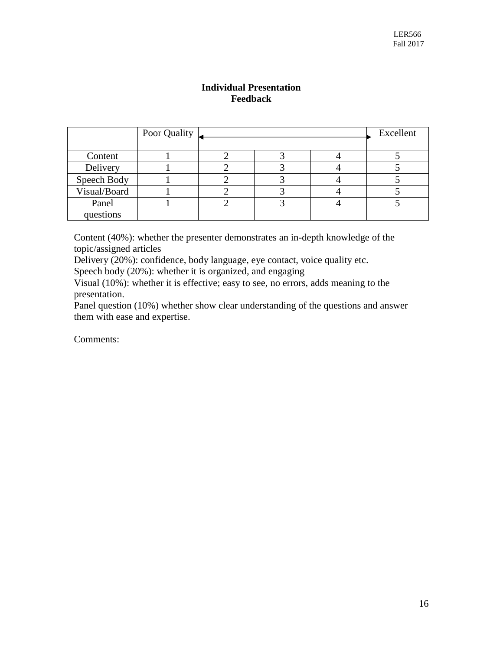## **Individual Presentation Feedback**

|              | Poor Quality |  | Excellent |
|--------------|--------------|--|-----------|
| Content      |              |  |           |
| Delivery     |              |  |           |
| Speech Body  |              |  |           |
| Visual/Board |              |  |           |
| Panel        |              |  |           |
| questions    |              |  |           |

Content (40%): whether the presenter demonstrates an in-depth knowledge of the topic/assigned articles

Delivery (20%): confidence, body language, eye contact, voice quality etc.

Speech body (20%): whether it is organized, and engaging

Visual (10%): whether it is effective; easy to see, no errors, adds meaning to the presentation.

Panel question (10%) whether show clear understanding of the questions and answer them with ease and expertise.

Comments: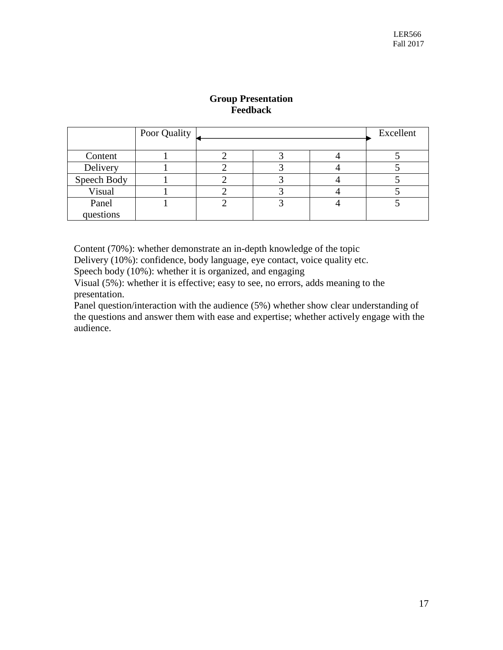|             | Poor Quality |  | Excellent |
|-------------|--------------|--|-----------|
| Content     |              |  |           |
| Delivery    |              |  |           |
| Speech Body |              |  |           |
| Visual      |              |  |           |
| Panel       |              |  |           |
| questions   |              |  |           |

# **Group Presentation Feedback**

Content (70%): whether demonstrate an in-depth knowledge of the topic

Delivery (10%): confidence, body language, eye contact, voice quality etc.

Speech body (10%): whether it is organized, and engaging

Visual (5%): whether it is effective; easy to see, no errors, adds meaning to the presentation.

Panel question/interaction with the audience (5%) whether show clear understanding of the questions and answer them with ease and expertise; whether actively engage with the audience.